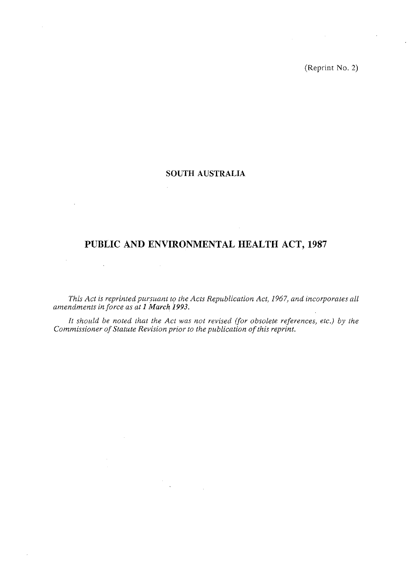(Reprint No. 2)

 $\mathcal{A}^{\mathcal{A}}$ 

 $\mathcal{A}$ 

## **SOUTH AUSTRALIA**

 $\sim$ 

 $\mathcal{L}^{\mathcal{L}}(\mathcal{L}^{\mathcal{L}})$  . The contract of the contract of the contract of

 $\mathcal{L}$ 

 $\sim$ 

# **PUBLIC AND ENVIRONMENTAL HEALTH ACT, 1987**

*This Act is reprinted pursuant to the Acts Republication Act, 1967, and incorporates all amendments in force as at 1 March 1993.* 

*It should be noted that the Act was not revised (for obsolete references, etc.) by the Commissioner of Statute Revision prior to the publication of this reprint.*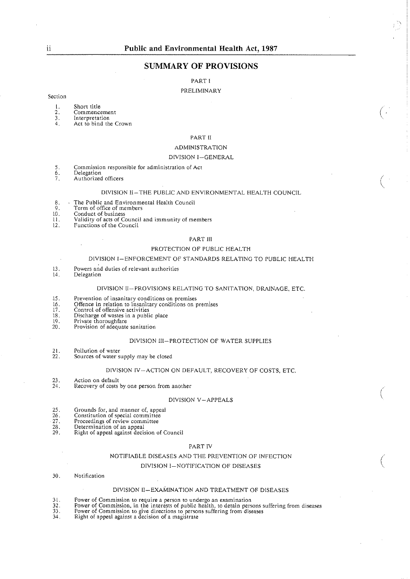## **SUMMARY OF PROVISIONS**

PART l

#### PRELIMINARY

#### Section

- Short title  $\mathbf{1}$ .
- $\overline{2}$ . Commencement
- $\overline{3}$ . Interpretation
- $\overline{4}$ . Act to bind the Crown

#### PART I1

### ADMINISTRATION

#### DIVISION I-GENERAL

- $\frac{5}{6}$ . Commission responsible for administration of Act
- Delegation
- Authorized officers

### DIVISION 11-THE PUBLIC AND ENVIRONMENTAL HEALTH COUNCIL

- $\frac{8}{9}$ . The Public and Environmental Health Council
- Term of office of members
- $10.$ Conduct of business
- Validity of acts of Council and immunity of members 11.
- $12<sup>°</sup>$ Functions of the Council

 $\mathcal{A}$ 

#### PART 111

#### PROTECTION OF PUBLIC HEALTH

#### DIVISION I-ENFORCEMENT OF STANDARDS RELATING TO PUBLIC HEALTH

- 13. Powers and duties of relevant authorities
- $\overline{14}$ . Delegation

#### DIVISION II-PROVISIONS RELATING TO SANITATION, DRAINAGE. ETC

- Prevention of insanitary conditions on premises 15.
- $16$  . Offence in relation to insanitary conaitions on premises Control of offensive activities
- 17.
- $\overline{18}$ . Discharge of wastes in a public place
- 19. Private thoroughfare
- $20.$ Provision of adequate sanitation

#### DIVISION III-PROTECTION OF WATER SUPPLIES

- 21. Pollution of water
- $22^{\circ}$ Sources of water supply may be closed

#### DIVISION IV-ACTION ON DEFAULT, RECOVERY OF COSTS, ETC.

- $\frac{23}{24}$ . Action on default
- Recovery of costs by one person from another

#### DIVISION V-APPEALS

- 25. Grounds for, and manner of, appeal
- 26.
- Constitution of special committee<br>Proceedings of review committee  $\frac{27}{28}$
- Determination of an appeal
- 29 Right of appeal against decision of Council

#### PART IV

#### NOTIFIABLE DISEASES AND THE PREVENTION OF INFECTION

#### DIVISION I-NOTIFICATION OF DISEASES

#### $30.$ Notification

#### DIVISION II-EXAMINATION AND TREATMENT OF DISEASES

- $31$ Power of Commission to require a person to undergo an examination
- 32. Power of Commission, in the interests of public health, to detain persons suffering from diseases
- Power of Commission to give directions to persons suffering from diseases Right of appeal against a decision of a magistrate 33.
- $34<sub>1</sub>$

ii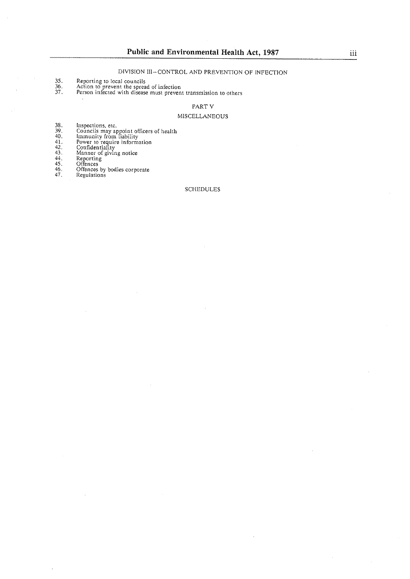## DIVISION 111-CONTROL AND PREVENTION OF INFECTION

- 
- 
- 35. Reporting to local councils 36. Action to prevent the spread of infection 37. Person infected with disease must prevent transmission to others

#### PART V

#### MISCELLANEOUS

- 
- Inspections, etc.<br>Councils may appoint officers of health<br>Immunity from liability<br>Power to require information<br>Confidentiality<br>Manner of giving notice<br>Reporting
- 
- 
- 
- 
- $38.39$ <br> $40.42$ <br> $43.445$ <br> $45.46$ <br> $47$
- Mainten of giving notice<br>Reporting<br>Offences<br>Offences by bodies corporate<br>Regulations
- 

#### **SCHEDULES**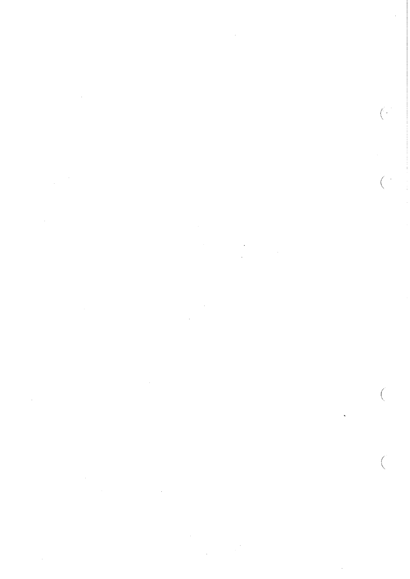$\label{eq:2.1} \frac{1}{2} \sum_{i=1}^n \frac{1}{2} \sum_{j=1}^n \frac{1}{2} \sum_{j=1}^n \frac{1}{2} \sum_{j=1}^n \frac{1}{2} \sum_{j=1}^n \frac{1}{2} \sum_{j=1}^n \frac{1}{2} \sum_{j=1}^n \frac{1}{2} \sum_{j=1}^n \frac{1}{2} \sum_{j=1}^n \frac{1}{2} \sum_{j=1}^n \frac{1}{2} \sum_{j=1}^n \frac{1}{2} \sum_{j=1}^n \frac{1}{2} \sum_{j=1}^n \frac{$ 

 $\label{eq:2.1} \frac{1}{\sqrt{2}}\int_{\mathbb{R}^3}\frac{1}{\sqrt{2}}\left(\frac{1}{\sqrt{2}}\int_{\mathbb{R}^3}\frac{1}{\sqrt{2}}\left(\frac{1}{\sqrt{2}}\int_{\mathbb{R}^3}\frac{1}{\sqrt{2}}\left(\frac{1}{\sqrt{2}}\int_{\mathbb{R}^3}\frac{1}{\sqrt{2}}\right)\frac{1}{\sqrt{2}}\right)\frac{1}{\sqrt{2}}\right)=\frac{1}{2}\int_{\mathbb{R}^3}\frac{1}{\sqrt{2}}\int_{\mathbb{R}^3}\frac{1}{\sqrt{2}}\frac{1}{\$ 

 $\mathcal{L}_{\text{max}}$  and  $\mathcal{L}_{\text{max}}$ 

 $\label{eq:2.1} \frac{1}{\sqrt{2}}\int_{\mathbb{R}^3}\frac{1}{\sqrt{2}}\left(\frac{1}{\sqrt{2}}\right)^2\left(\frac{1}{\sqrt{2}}\right)^2\left(\frac{1}{\sqrt{2}}\right)^2\left(\frac{1}{\sqrt{2}}\right)^2\left(\frac{1}{\sqrt{2}}\right)^2.$ 

 $\label{eq:2.1} \frac{1}{\sqrt{2}}\int_{\mathbb{R}^3} \frac{1}{\sqrt{2}}\left(\frac{1}{\sqrt{2}}\right)^2\frac{1}{\sqrt{2}}\left(\frac{1}{\sqrt{2}}\right)^2\frac{1}{\sqrt{2}}\left(\frac{1}{\sqrt{2}}\right)^2.$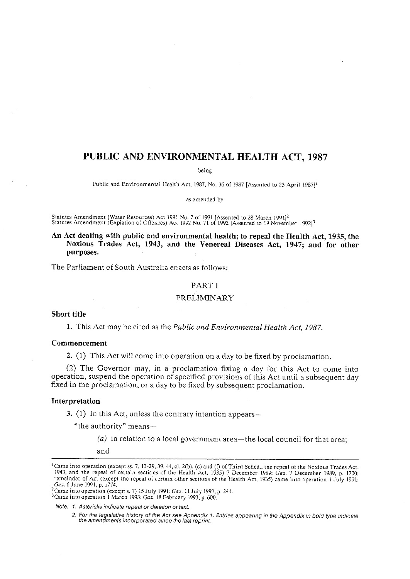# **PUBLIC AND ENVIRONMENTAL HEALTH ACT, 1987**

being

Public and Environmental Health Act, 1987, No. 36 of 1987 [Assented to 23 April 1987/'

as amended by

Statutes Amendment (Water Resources) Act 1991 No. 7 of 1991 [Assented to 28 March 1991]<sup>2</sup><br>Statutes Amendment (Expiation of Offences) Act 1992 No. 71 of 1992 [Assented to 19 November 1992]<sup>3</sup>

### **An Act dealing with public and environmental health; to repeat the Health Act, 1935, the Noxious Trades Act, 1943, and the Venereal Diseases Act, 1947; and for other purposes.**

The Parliament of South Australia enacts as follows:

## PART I

## PRELIMINARY

### **Short title**

**1.** This Act may be cited as the *Public and Environmental Health Act, 1987.* 

### **Commencement**

**2.** (1) This Act will come into operation on a day to be fixed by proclamation.

(2) The Governor may, in a proclamation fixing a day for this Act to come into operation, suspend the operation of specified provisions of this Act until a subsequent day fixed in the proclamation, or a day to be fixed by subsequent proclamation.

#### **Interpretation**

**3.** (1) In this Act, unless the contrary intention appears—

"the authority" means-

*(n)* in relation to a local government area-the local council for that area;

and

Came into operation 1 March 1993: *Gaz.* 18 February 1993, p. 600.

<sup>&</sup>lt;sup>1</sup>Came into operation (except ss. 7, 13-29, 39, 44, cl. 2(b), (c) and (f) of Third Sched., the repeal of the Noxious Trades Act, 1943, and the repeal of certain sections of the Health Act, 1935) 7 December 1989: *Gaz*. 7 December 1989, p. 1700; remainder of Act (except the repeal of certain other sections of the Health Act, 1935) came into operation I July 1991: Gaz. 6 June 1991, p. 1774.

<sup>&#</sup>x27;Came into operation (excepts. 7) 15 July 1991: Gar, II July 1991, p. 244.

**Note:** 1. **Asterisks indicate repeal or deletion** of **text.** 

**<sup>2.</sup> For the legislative history** of **the Act see Appendix 1. Entries appearing in the Appendix in bold type indicate the amendments incorporated since the last reprlnt.**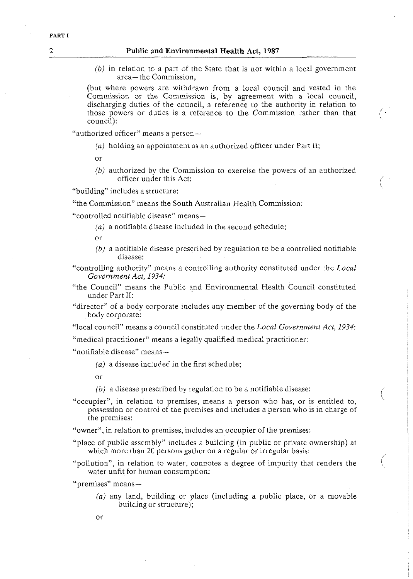#### 2 **Public and Environmental Health Act, 1987**

*(b)* in relation to a part of the State that is not within a local government area-the Commission,

(but where powers are withdrawn from a local council and vested in the Commission or the Commission is, by agreement with a local council, discharging duties of the council, a reference to the authority in relation to those powers or duties is a reference to the Commission rather than that council):

"authorized officer" means a person-

*[a)* holding an appointment as an authorized officer under Part **11;** 

or

*(b)* authorized by the Commission to exercise the powers of an authorized officer under this Act:

"building" includes a structure:

"the Commission" means the South Australian Health Commission:

"controlled notifiable disease" means-

*(a)* a notifiable disease included in the second schedule;

or

*(b)* a notifiable disease prescribed by regulation to be a controlled notifiable disease:

"controlling authority" means a controlling authority constituted under the *Local Government Act,* 1934:

- "the Council" means the Public and Environmental Health Council constituted under Part **11:**
- "director" of a body corporate includes any member of the governing body of the body corporate:
- "local council" means a council constituted under the *Local Government Act,* 1934:

"medical practitioner" means a legally qualified medical practitioner:

"notifiable disease" means-

*(a)* a disease included in the first schedule;

or

- *(b)* a disease prescribed by regulation to be a notifiable disease:
- "occupier", in relation to premises, means a person who has, or is entitled to, possession or control of the premises and includes a person who is in charge of the premises:

 $\begin{pmatrix} 1 & 1 \\ 1 & 1 \end{pmatrix}$ 

"owner", in relation to premises, includes an occupier of the premises:

- "place of public assembly" includes a building (in public or private ownership) at which more than 20 persons gather on a regular or irregular basis:
- "pollution", in relation to water, connotes a degree of impurity that renders the water unfit for human consumption:
- " premises" means-
	- (a) any land, building or place (including a public place, or a movable building or structure);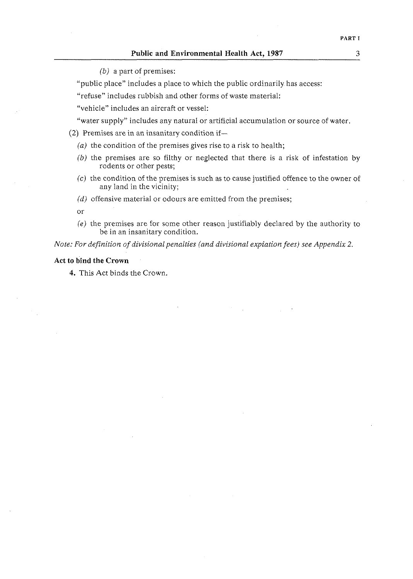*(b)* a part of premises:

"public place" includes a place to which the public ordinarily has access:

"refuse" includes rubbish and other forms of waste material:

"vehicle" includes an aircraft or vessel:

"water supply" includes any natural or artificial accumulation or source of water.

(2) Premises are in an insanitary condition if-

- *(a)* the condition of the premises gives rise to a risk to health;
- *(b)* the premises are so filthy or neglected that there is a risk of infestation by rodents or other pests;
- $(c)$  the condition of the premises is such as to cause justified offence to the owner of any land in the vicinity;

*(d)* offensive material or odours are emitted from the premises;

or

*(e)* the premises are for some other reason justifiably declared by the authority to be in an insanitary condition.

*Note: For definition of divisional penalties (and divisional expiation fees) see Appendix 2.* 

#### **Act to bind the Crown**

4. This Act binds the Crown.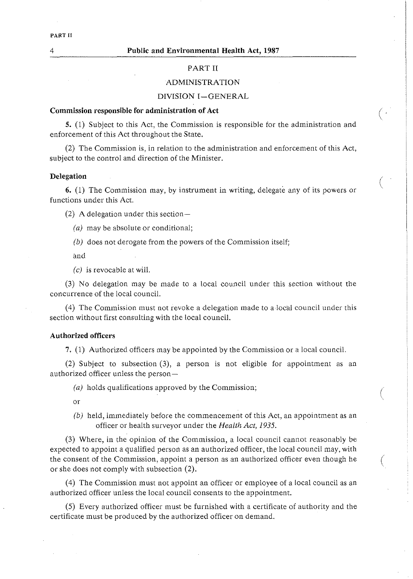## PART I1

## ADMINISTRATION

### DIVISION I-GENERAL

### **Commission responsible for administration of Act**

5. (1) Subject to this Act, the Commission is responsible for the administration and enforcement of this Act throughout the State.

(2) The Commission is, in relation to the administration and enforcement of this Act, subject to the control and direction of the Minister.

### **Delegation**

**6.** (1) The Commission may, by instrument in writing, delegate any of its powers or functions under this Act.

(2) A delegation under this section $-$ 

- *(a)* may be absolute or conditional;
- *(b)* does not derogate from the powers of the Commission itself;

ancl

*(c)* is revocable at will.

(3) No delegation may be made to a local council under this section without the concurrence of the local council.

(4) The Commission must not revoke a delegation made to a local council under this section without first consulting with the local council.

#### **Authorized officers**

7. (1) Authorized officers may be appointed by the Commission or a local council.

(2) Subject to subsection (3), a person is not eligible for appointment as an authorized officer unless the person-

*(a)* holds qualifications approved by the Commission;

or

*(b)* held, immediately before the commencement of this Act, an appointment as an officer or health surveyor under the *Health Act,* 1935.

(3) Where, in the opinion of the Commission, a local council cannot reasonably be expected to appoint a qualified person as an authorized officer, the local council may, with the consent of the Commission, appoint a person as an authorized officer even though he or she does not comply with subsection (2).

(4) The Commission must not appoint an officer or employee of a local council as an authorized officer unless the local council consents to the appointment.

(5) Every authorized officer must be furnished with a certificate of authority and the certificate must be produced by the authorized officer on demand.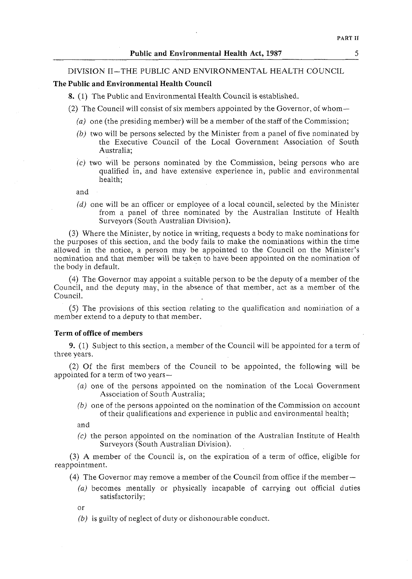DIVISION 11-THE PUBLIC AND ENVIRONMENTAL HEALTH COUNCIL

## **The Public and Environmental Health Council**

**8.** (1) The Public and Environmental Health Council is established.

(2) The Council will consist of six members appointed by the Governor, of whom-

- *(aj* one (the presiding member) will be a member of the staff of the Commission;
- *(bj* two will be persons selected by the Minister from a panel of five nominated by the Executive Council of the Local Government Association of South Australia;
- $(c)$  two will be persons nominated by the Commission, being persons who are qualified in, and have extensive experience in, public and environmental health;

and

*(dj* one will be an officer or employee of a local council, selected by the Minister from a panel of three nominated by the Australian Institute of Health Surveyors (South Australian Division).

(3) Where the Minister, by notice in writing, requests a body to make nominations for the purposes of this section, and the body fails to make the nominations within the time allowed in the notice, a person may be appointed to the Council on the Minister's nomination and that member will be taken to have been appointed on the nomination of the body in default.

(4) The Governor may appoint a suitable person to be the deputy of a member of the Council, and the deputy may, in the absence of that member, act as a member of the Council.

*(5)* The provisions of this section relating to the qualification and nomination of a member extend to a deputy to that member.

## **Term of office of members**

**9.** (1) Subject to this section, a member of the Council will be appointed for a term of three years.

(2) Of the first members of the Council to be appointed, the following will be appointed for a term of two years-

- (a) one of the persons appointed on the nomination of the Local Government Association of South Australia;
- *(bj* one of the persons appointed on the nomination of the Commission on account of their qualifications and experience in public and environmental health;

and

*(cj* the person appointed on the nomination of the Australian Institute of Health Surveyors (South Australian Division).

(3) A member of the Council is, on the expiration of a term of office, eligible for reappointment.

- (4) The Governor may remove a member of the Council from office if the member-
	- *(a)* becomes mentally or physically incapable of carrying out official duties satisfactorily;

or

*(bj* is guilty of neglect of duty or dishonourable conduct.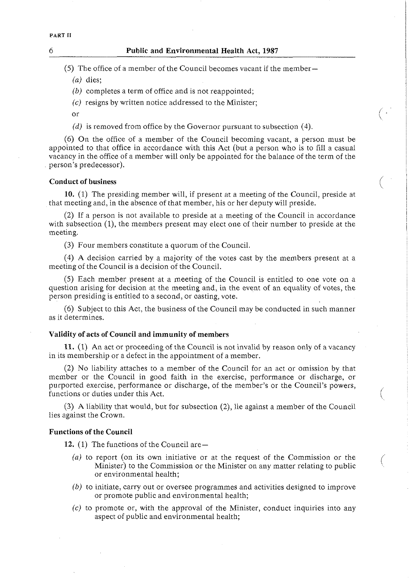(5) The office of a member of the Council becomes vacant if the member-

- (a) dies;
- (b) completes a term of office and is not reappointed;
- (c) resigns by written notice addressed to the Minister;

or

 $(d)$  is removed from office by the Governor pursuant to subsection (4).

(6) On the office of a member of the Council becoming vacant, a person must be appointed to that office in accordance with this Act (but a person who is to fill a casual vacancy in the office of a member will only be appointed for the balance of the term of the person's predecessor).

#### **Conduct of business**

**10.** (1) The presiding member will, if present at a meeting of the Council, preside at that meeting and, in the absence of that member, his or her deputy will preside.

(2) If a person is not available to preside at a meeting of the Council in accordance with subsection (I), the members present may elect one of their number to preside at the meeting.

(3) Four members constitute a quorum of the Council.

(4) A decision carried by a majority of the votes cast by the members present at a meeting of the Council is a decision of the Council.

(5) Each member present at a meeting of the Council is entitled to one vote on a question arising for decision at the meeting and, in the event of an equality of votes, the person presiding is entitled to a second, or easting, vote.

(6) Subject to this Act, the business of the Council may be conducted in such manner as it determines.

#### **Validity of acts of Council and immunity of members**

11. (1) An act or proceeding of the Council is not invalid by reason only of a vacancy in its membership or a defect in the appointment of a member.

(2) No liability attaches to a member of the Council for an act or omission by that member or the Council in good faith in the exercise, performance or discharge, or purported exercise, performance or discharge, of the member's or the Council's powers, functions or duties under this Act.

**(3)** A liability that would, but for subsection (2), lie against a member of the Council lies against the Crown.

#### **Functions of the Council**

**12.** (1) The functions of the Council are

- (a) to report (on its own initiative or at the request of the Commission or the Minister) to the Commission or the Minister on any matter relating to public or environmental health;
- (b) to initiate, carry out or oversee programmes and activities designed to improve or promote public and environmental health;
- (c) to promote or, with the approval of the Minister, conduct inquiries into any aspect of public and environmental health;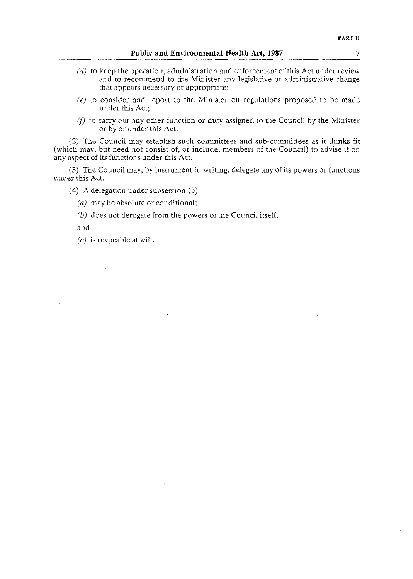## **Public and Environmental Health Act, 1987** 7

- *(dj* to keep the operation, administration and enforcement of this Act under review and to recommend to the Minister any legislative or administrative change that appears necessary or appropriate;
- *(ej* to consider and report to the Minister on regulations proposed to be made under this Act;
- *(fj* to carry out any other function or duty assigned to the Council by the Minister or by or under this Act.

(2) The Council may establish such committees and sub-committees as it thinks fit (which may, but need not consist of, or include, members of the Council) to advise it on any aspect of its functions under this Act.

(3) The Council may, by instrument in writing, delegate any of its powers or functions under this Act.

(4) A delegation under subsection  $(3)$ -

*la)* may be absolute or conditional;

*(bj* does not derogate from the powers of the Council itself;

and

 $(c)$  is revocable at will.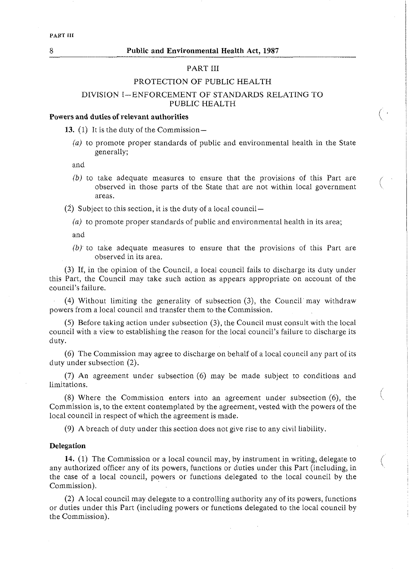### 8 **Public and Environmental Health Act. 1987**

## PART III

### PROTECTION OF PUBLIC HEALTH

## DIVISION I-ENFORCEMENT OF STANDARDS RELATING TO PUBLIC HEALTH

## **Powers and duties of relevant authorities**

**13.** (1) It is the duty of the Commission—

(a) to promote proper standards of public and environmental health in the State generally;

and

- (b) to take adequate measures to ensure that the provisions of this Part are observed in those parts of the State that are not within local government areas.
- (2) Subject to this section, it is the duty of a local council-
	- (a) to promote proper standards of public and environmental health in its area;

and

 $(b)$  to take adequate measures to ensure that the provisions of this Part are observed in its area.

(3) If, in the opinion of the Council, a local council fails to discharge its duty under this Part, the Council may take such action as appears appropriate on account of the council's failure.

(4) Without limiting the generality of subsection (3), the Council may withdraw powers from a local council and transfer them to the Commission.

(5) Before taking action under subsection (3), the Council must consult with the local council with a view to establishing the reason for the local council's failure to discharge its duty.

 $(6)$  The Commission may agree to discharge on behalf of a local council any part of its duty under subsection (2).

(7) An agreement under subsection (6) may be made subject to conditions and limitations.

(8) Where the Commission enters into an agreement under subsection *(6),* the \ Commission is, to the extent contemplated by the agreement, vested with the powers of the local council in respect of which the agreement is made.

(9) A breach of duty under this section does not give rise to any civil liability.

#### **Delegation**

**14.** (1) The Commission or a local council may, by instrument in writing, delegate to ,' any authorized officer any of its powers, functions or duties under this Part (including, in the case of a local council, powers or functions delegated to the local council by the Commission).

(2) A local council may delegate to a controlling authority any of its powers, functions or duties under this Part (including powers or functions delegated to the local council by the Commission).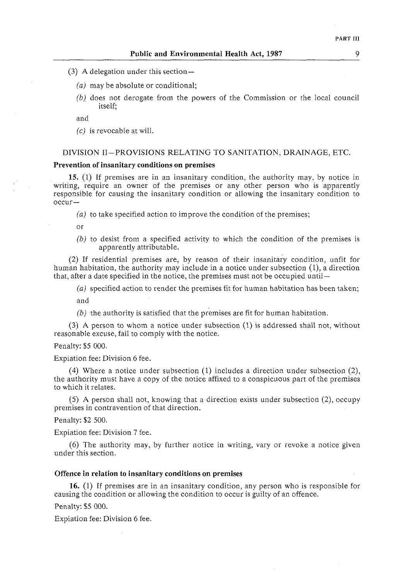- **(3)** A delegation under this section-
	- *(a)* may be absolute or conditional;
	- *(b)* does not derogate from the powers of the Commission or the local council itself;

and

 $(c)$  is revocable at will.

### DIVISION 11-PROVISIONS RELATING TO SANITATION, DRAINAGE, ETC.

## **Prevention of insanitary conditions on premises**

15. (1) If premises are in an insanitary condition, the authority may, by notice in writing, require an owner of the premises or any other person who is apparently responsible for causing the insanitary condition or allowing the insanitary condition to occur-

*(a)* to take specified action to improve the condition of the premises;

or

*(b)* to desist from a specified activity to which the condition of the premises is apparently attributable.

*(2)* If residential premises are, by reason of their insanitary condition, unfit for human habitation, the authority may include in a notice under subsection (I), a direction that, after a date specified in the notice, the premises must not be occupied until-

*(a)* specified action to render the premises fit for human habitation has been taken;

and

*(b)* the authority is satisfied that the premises are fit for human habitation.

**(3)** A person to whom a notice under subsection (1) is addressed shall not, without reasonable excuse, fail to comply with the notice.

Penalty: *\$5 000.* 

Expiation fee: Division *6* fee.

(4) Where a notice under subsection  $(1)$  includes a direction under subsection  $(2)$ , the authority must have a copy of the notice affixed to a conspicuous part of the premises to which it relates.

*(5)* A person shall not, knowing that a direction exists under subsection *(2),* occupy premises in contravention of that direction.

Penalty: *\$2 500.* 

Expiation fee: Division 7 fee.

*(6)* The authority may, by further notice in writing, vary or revoke a notice given under this section.

#### **Offence in relation to insanitary conditions on premises**

16. (1) If premises are in an insanitary condition, any person who is responsible for causing the condition or allowing the condition to occur is guilty of an offence.

Penalty: *\$5 000.* 

Expiation fee: Division 6 fee.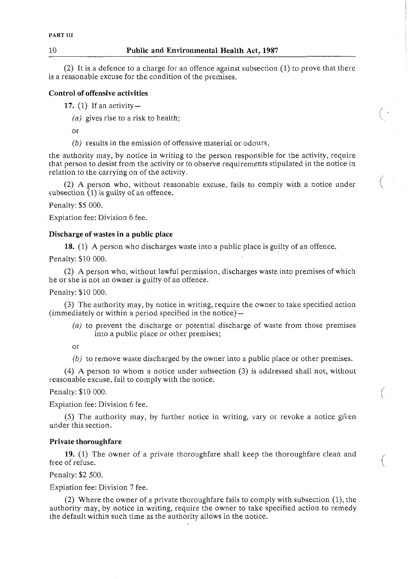(2) It is a defence to a charge for an offence against subsection  $(1)$  to prove that there is a reasonable excuse for the condition of the premises.

### **Control of offensive activities**

**17.** (1) If an activity-

*(a)* gives rise to a risk to health;

or

*(b)* results in the emission of offensive material or odours,

the authority may, by notice in writing to the person responsible for the activity, require that person to desist from the activity or to observe requirements stipulated in the notice in relation to the carrying on of the activity.

(2) A person who, without reasonable excuse, fails to comply with a notice under subsection  $(1)$  is guilty of an offence.

Penalty: \$5 000.

Expiation fee: Division 6 fee.

### **Discharge of wastes in a public place**

**18.** (1) A person who discharges waste into a public place is guilty of an offence.

Penalty: \$10 000.

(2) A person who, without lawful permission, discharges waste into premises of which he or she is not an owner is guilty of an offence.

Penalty: \$10 000.

(3) The authority may, by notice in writing, require the owner to take specified action (immediately or within a period specified in the notice)-

*(a)* to prevent the discharge or potential discharge of waste from those premises into a public place or other premises;

or

*(b)* to remove waste discharged by the owner into a public place or other premises.

(4) A person to whom a notice under subsection **(3)** is addressed shall not, without reasonable excuse, fail to comply with the notice.

Penalty: \$10 000.

Expiation fee: Division 6 fee.

(5) The authority may, by further notice in writing, vary or revoke a notice given under this section.

### **Private thoroughfare**

**19.** (1) The owner of a private thoroughfare shall keep the thoroughfare clean and free of refuse.

1,

Penalty: \$2 500.

Expiation fee: Division 7 fee.

(2) Where the owner of a private thoroughfare fails to comply with subsection (I), the authority may, by notice in writing, require the owner to take specified action to remedy the default within such time as the authority allows in the notice.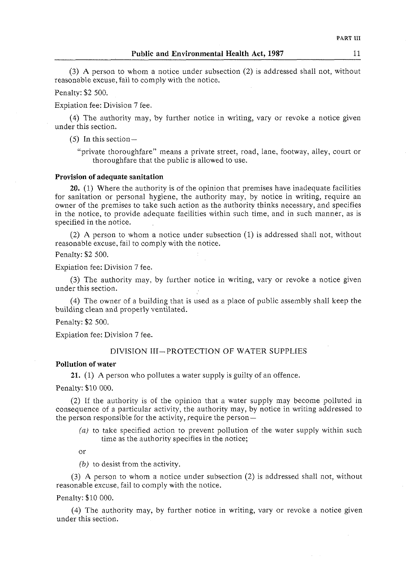(3) A person to whom a notice under subsection (2) is addressed shall not, without reasonable excuse, fail to comply with the notice.

Penalty: \$2 500.

Expiation fee: Division 7 fee.

(4) The authority may, by further notice in writing, vary or revoke a notice given under this section.

 $(5)$  In this section  $-$ 

"private thoroughfare" means a private street, road, lane, footway, alley, court or thoroughfare that the public is allowed to use.

## **Provision of adequate sanitation**

**20.** (1) Where the authority is of the opinion that premises have inadequate facilities for sanitation or personal hygiene, the authority may, by notice in writing, require an owner of the premises to take such action as the authority thinks necessary, and specifies in the notice, to provide adequate facilities within such time, and in such manner, as is specified in the notice.

(2) A person to whom a notice under subsection (1) is addressed shall not, without reasonable excuse, fail to comply with the notice.

Penalty: \$2 500.

Expiation fee: Division 7 fee.

(3) The authority may, by further notice in writing, vary or revoke a notice given under this section.

(4) The owner of a building that is used as a place of public assembly shall keep the building clean and properly ventilated.

Penalty: \$2 500.

Expiation fee: Division 7 fee.

### DIVISION III-PROTECTION OF WATER SUPPLIES

### **Pollution of water**

**21.** (1) A person who pollutes a water supply is guilty of an offence.

Penalty: \$10 000.

(2) If the authority is of the opinion that a water supply may become polluted in consequence of a particular activity, the authority may, by notice in writing addressed to the person responsible for the activity, require the person-

*(a)* to take specified action to prevent pollution of the water supply within such time as the authority specifies in the notice;

or

(b) to desist from the activity.

(3) A person to whom a notice under subsection (2) is addressed shall not, without reasonable excuse, fail to comply with the notice.

### Penalty: \$10 000.

(4) The authority may, by further notice in writing, vary or revoke a notice given under this section.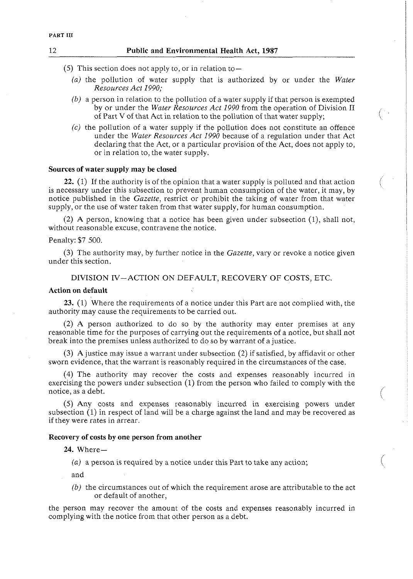#### 12 Public and Environmental Health Act. **1987**

- (5) This section does not apply to, or in relation to  $-$ 
	- *(a)* the pollution of water supply that is authorized by or under the *Water Resources Act 1990;*
	- *(b)* a person in relation to the pollution of a water supply if that person is exempted by or under the *Water Resources Act 1990* from the operation of Division II of Part V of that Act in relation to the pollution of that water supply;
	- $(c)$  the pollution of a water supply if the pollution does not constitute an offence under the *Wnter Resources Act 1990* because of a regulation under that Act declaring that the Act, or a particular provision of the Act, does not apply to, or in relation to, the water supply.

### Sources of water supply may be closed

**22.** (1) If the authority is of the opinion that a water supply is polluted and that action is necessary under this subsection to prevent human consumption of the water, it may, by notice published in the *Gnzelte,* restrict or prohibit the taking of water from that water supply, or the use of water taken from that water supply, for human consumption.

(2) A person, knowing that a notice has been given under subsection (I), shall not, without reasonable excuse, contravene the notice.

### Penalty: \$7 500.

(3) The authority may, by further notice in the *Gazette,* vary or revoke a notice given under this section.

### DIVISION IV-ACTION ON DEFAULT, RECOVERY OF COSTS, ETC.

### Action on default

**23.** (1) Where the requirements of a notice under this Part are not complied with, the authority may cause the requirements to be carried out.

(2) A person authorized to do so by the authority may enter premises at any reasonable time for the purposes of carrying out the requirements of a notice, but shall not break into the premises unless authorized to do so by warrant of a justice.

(3) A justice may issue a warrant under subsection (2) if satisfied, by affidavit or other sworn evidence, that the warrant is reasonably required in the circumstances of the case.

(4) The authority may recover the costs and expenses reasonably incurred in exercising the powers under subsection (1) from the person who failed to comply with the notice, as a debt. notice, as a debt.  $\left( \frac{1}{2} \right)$  is the discretion  $\left( \frac{1}{2} \right)$  is the discretion of  $\left( \frac{1}{2} \right)$  is the discretion of  $\left( \frac{1}{2} \right)$ 

(5) Any costs and expenses reasonabiy incurred in exercising powers under subsection (1) in respect of land will be a charge against the land and may be recovered as if they were rates in arrear.

#### Recovery of costs by one person from another

#### **24.** Where-

*(a)* a person is required by a notice under this Part to take any action;

and

*(b)* the circumstances out of which the requirement arose are attributable to the act or default of another,

the person may recover the amount of the costs and expenses reasonably incurred in complying with the notice from that other person as a debt.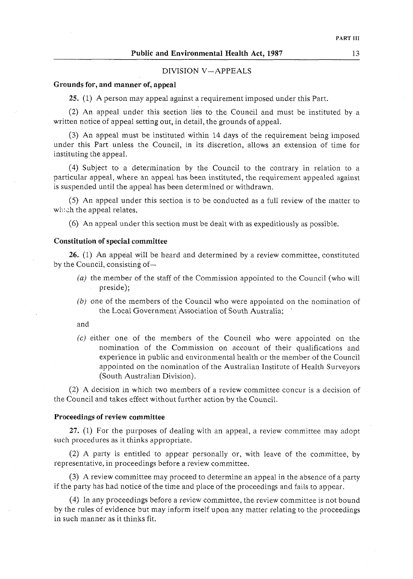DIVISION V-APPEALS

### **Grounds for, and manner of, appeal**

**25.** (1) A person may appeal against a requirement imposed under this Part.

(2) An appeal under this section lies to the Council and must be instituted by a written notice of appeal setting out, in detail, the grounds of appeal.

(3) An appeal must be instituted within 14 days of the requirement being imposed under this Part unless the Council, in its discretion, allows an extension of time for instituting the appeal.

(4) Subject to a determination by the Council to the contrary in relation to a particular appeal, where an appeal has been instituted, the requirement appealed against is suspended until the appeal has been determined or withdrawn.

(5) An appeal under this section is to be conducted as a full review of the matter to which the appeal relates.

(6) An appeal under this section must be dealt with as expeditiously as possible.

## **Constitution of special committee**

**26..** (1) An appeal will be heard and determined by a review committee, constituted by the Council, consisting of-

- (a) the member of the staff of the Commission appointed to the Council (who will preside);
- (b) one of the members of the Council who were appointed on the nomination of the Local Government Association of South Australia;

and

(c) either one of the members of the Council who were appointed on the nomination of the Commission on account of their qualifications and experience in public and environmental health or the member of the Council appointed on the nomination of the Australian Institute of Health Surveyors (South Australian Division).

(2) A decision in which two members of a review committee concur is a decision of the Council and takes effect without further action by the Council.

#### **Proceedings of review committee**

**27.** (1) For the purposes of dealing with an appeal, a review committee may adopt such procedures as it thinks appropriate.

(2) A party is entitled to appear personally or, with leave of the committee, by representative, in proceedings before a review committee.

(3) A review committee may proceed to determine an appeal in the absence of a party if the party has had notice of the time and place of the proceedings and fails to appear.

(4) In any proceedings before a review committee, the review committee is not bound by the rules of evidence but may inform itself upon any matter relating to the proceedings in such manner as it thinks fit.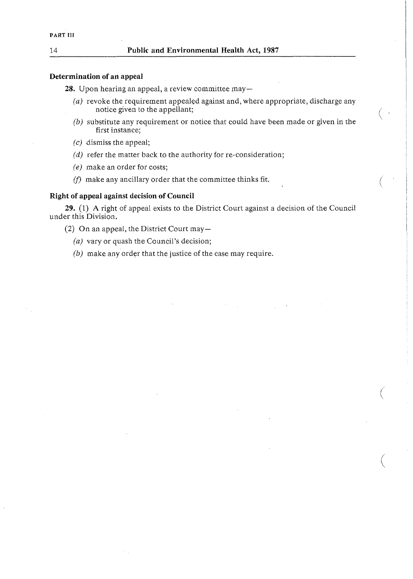## **Determination of an appeal**

**28.** Upon hearing an appeal, a review committee may-

- (a) revoke the requirement appealed against and, where appropriate, discharge any<br>notice given to the appellant;<br>(b) substitute any is spinoment or notice that early have been mode or sities in the
- (b) substitute any requirement or notice that could have been made or given in the first instance;
- *(c)* dismiss the appeal;
- (d) refer the matter back to the authority for re-consideration;
- *(e)* make an order for costs;
- $(f)$  make any ancillary order that the committee thinks fit.

## **Right of appeal against decision of Council**

**29.** (1) **A** right of appeal exists to the District Court against a decision of the Council under this Division.

(2) On an appeal, the District Court may-

- (a) vary or quash the Council's decision;
- $(b)$  make any order that the justice of the case may require.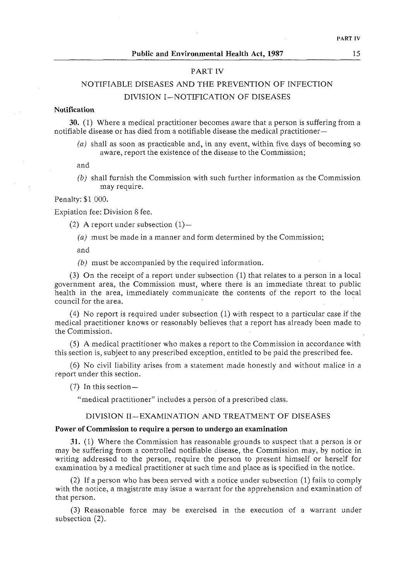### PART IV

# NOTIFIABLE DISEASES AND THE PREVENTION OF INFECTION DIVISION I-NOTIFICATION OF DISEASES

### **Notification**

**30.** (1) Where a medical practitioner becomes aware that a person is suffering from a notifiable disease or has died from a notifiable disease the medical practitioner-

(a) shall as soon as practicable and, in any event, within five days of becoming so aware, report the existence of the disease to the Commission;

and

*(b)* shall furnish the Commission with such further information as the Commission may require.

Penalty: \$1 000.

Expiation fee: Division 8 fee.

- (2) A report under subsection  $(1)$ -
	- (a) must be made in a manner and form determined by the Commission;

and

*(b)* must be accompanied by the required information.

(3) On the receipt of a report under subsection (1) that relates to a person in a local government area, the Commission must, where there is an immediate threat to public health in the area, immediately communicate the contents of the report to the local council for the area.

(4) No report is required under subsection (1) with respect to a particular case if the medical practitioner knows or reasonably believes that a report has already been made to the Commission.

(5) A medical practitioner who makes a report to the Commission in accordance with this section is, subject to any prescribed exception, entitled to be paid the prescribed fee.

(6) No civil liability arises from a statement made honestly and without malice in a report under this section.

 $(7)$  In this section-

"medical practitioner" includes a person of a prescribed class.

## DIVISION IT-EXAMINATION AND TREATMENT OF DISEASES

### **Power of Commission to require a person to undergo an examination**

**31.** (1) Where the Commission has reasonable grounds to suspect that a person is or may be suffering from a controlled notifiable disease, the Commission may, by notice in writing addressed to the person, require the person to present himself or herself for examination by a medical practitioner at such time and place as is specified in the notice.

(2) If a person who has been served with a notice under subsection (1) fails to comply with the notice, a magistrate may issue a warrant for the apprehension and examination of that person.

(3) Reasonable force may be exercised in the execution of a warrant under subsection (2).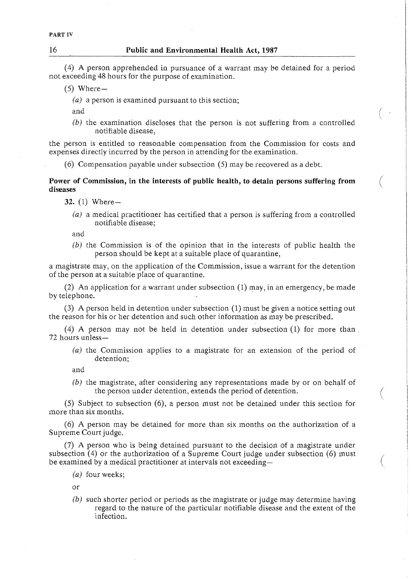#### 16 **Public and Environmental Health Act. 1987**

(4) **A** person apprehended in pursuance of a warrant may be detained for a period not exceeding 48 hours for the purpose of examination.

- $(5)$  Where  $-$ 
	- *(a)* a person is examined pursuant to this section;

and

*(b)* the examination discloses that the person is not suffering from a controlled notifiable disease,

 $\left(\cdot\right)$ 

the person is entitled to reasonable compensation from the Commission for costs and expenses directly incurred by the person in attending for the examination.

(6) Compensation payable under subsection (5) may be recovered as a debt.

**Power of Commission, in the interests of public health, to detain persons suffering from diseases** 

**32.** (1) Where-

(a) a medical practitioner has certified that a person is suffering from a controlled notifiable disease;

and

*(b)* the Commission is of the opinion that in the interests of public health the person should be kept at a suitable place of quarantine,

a magistrate may, on the application of the Commission, issue a warrant for the detention of the person at a suitable place of quarantine.

(2) An application for a warrant under subsection (1) may, in an emergency, be made by telephone.

**(3)** A person held in detention under subsection (1) must be given a notice setting out the reason for his or her detention and such other information as may be prescribed.

(4) A person may not be held in detention under subsection (1) for more than 72 hours unless-

*(a)* the Commission applies to a magistrate for an extension of the period of detention;

and

*(b)* the magistrate, after considering any representations made by or on behalf of the person under detention, extends the period of detention.

(5) Subject to subsection (6), a person must not be detained under this section for more than six months.

(6) A person may be detained for more than six months on the authorization of a Supreme Court judge.

(7) A person who is being detained pursuant to the decision of a magistrate under subsection (4) or the authorization of a Supreme Court judge under subsection (6) must be examined by a medical practitioner at intervals not exceeding—

(a) four weeks;

or

*(b)* such shorter period or periods as the magistrate or judge may determine having regard to the nature of the particular notifiable disease and the extent of the infection.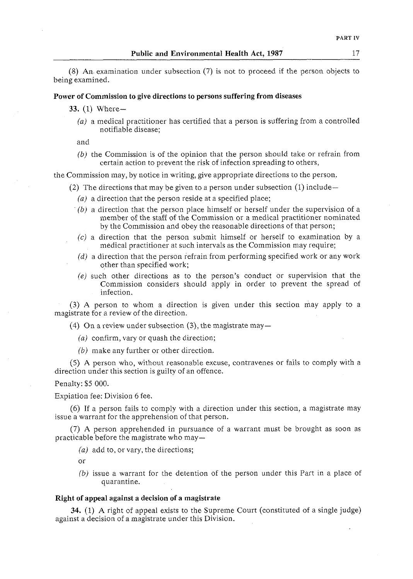(8) An. examination under subsection (7) is not to proceed if the person objects to being examined.

## *Power of Commission to give directions to persons suffering from diseases*

**33.** (1) Where-

*(a)* a medical practitioner has certified that a person is suffering from a controlled notifiable disease;

and

*(b)* the Commission is of the opinion that the person should take or refrain from certain action to prevent the risk of infection spreading to others,

the Commission may, by notice in writing, give appropriate directions to the person.

- (2) The directions that may be given to a person under subsection  $(1)$  include-
	- *(a)* a direction that the person reside at a specified place;
	- $(b)$  a direction that the person place himself or herself under the supervision of a member of the staff of the Commission or a medical practitioner nominated by the Commission and obey the reasonable directions of that person;
	- *(c)* a direction that the person submit himself or herself to examination by a medical practitioner at such intervals as the Commission may require;
	- $(d)$  a direction that the person refrain from performing specified work or any work other than specified work;
	- *(e)* such other directions as to the person's conduct or supervision that the Commission considers should apply in order to prevent the spread of infection.

**(3)** A person to whom a direction is given under this section may apply to a magistrate for a review of the direction.

(4) On a review under subsection **(3),** the magistrate may-

- *(a)* confirm, vary or quash the direction;
- *(b)* make any further or other direction.

(5) A person who, without reasonable excuse, contravenes or fails to comply with a direction under this section is guilty of an offence.

Penalty: \$5 000.

Expiation fee: Division *6* fee.

(6) If a person faiis to comply with a direction under this section, a magistrate may issue a warrant for the apprehension of that person.

(7) A person apprehended in pursuance of a warrant must be brought as soon as practicable before the magistrate who may-

 $(a)$  add to, or vary, the directions;

or

*(bj* issue a warrant for the detention of the person under this Part in a place of quarantine.

## *Right* **of** *appeal against a decision of a magistrate*

**34.** (1) A right of appeal exists to the Supreme Court (constituted of a single judge) against a decision of a magistrate under this Division.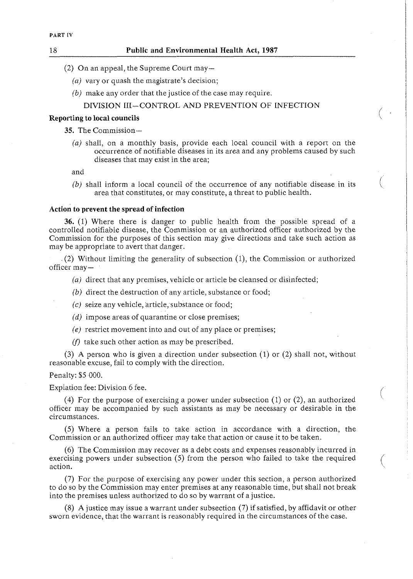- (2) On an appeal, the Supreme Court may-
	- *(a)* vary or quash the magistrate's decision;
	- *(b)* make any order that the justice of the case may require.

## DIVISION 111-CONTROL AND PREVENTION OF INFECTION

#### **Reporting to local councils**

**35.** The Commission-

*(a)* shall, on a monthly basis, provide each local council with a report on the occurrence of notifiable diseases in its area and any problems caused by such diseases that may exist in the area;

and

(b) shall inform a local council of the occurrence of any notifiable disease in its area that constitutes, or may constitute, a threat to public health.

#### **Action to prevent the spread of infection**

**36.** (1) Where there is danger to public health from the possible spread of a controlled notifiable disease, the Commission or an authorized officer authorized by the Commission for the purposes of this section may give directions and take such action as may be appropriate to avert that danger.

(2) Without limiting the generality of subsection (I), the Commission or authorized officer may-

*(a)* direct that any premises, vehicle or article be cleansed or disinfected;

- *(b)* direct the destruction of any article, substance or food;
- $(c)$  seize any vehicle, article, substance or food;
- (d) impose areas of quarantine or close premises;
- *(e)* restrict movement into and out of any place or premises;

 $(f)$  take such other action as may be prescribed.

(3) A person who is given a direction under subsection (1) or (2) shall not, without reasonable excuse, fail to comply with the direction.

Penalty: \$5 000.

Expiation fee: Division 6 fee.

(4) For the purpose of exercising a power under subsection (1) or (2), an authorized officer may be accompanied by such assistants as may be necessary or desirable in the circumstances.

(5) Where a person fails to take action in accordance with a direction, the Commission or an authorized officer may take that action or cause it to be taken.

(6) The Commission may recover as a debt costs and expenses reasonably incurred in exercising powers under subsection (5) from the person who failed to take the required action.

(7) For the purpose of exercising any power under this section, a person authorized to do so by the Commission may enter premises at any reasonable time, but shall not break into the premises unless authorized to do so by warrant of a justice.

(8) A justice may issue a warrant under subsection (7) if satisfied, by affidavit or other sworn evidence, that the warrant is reasonably required in the circumstances of the case.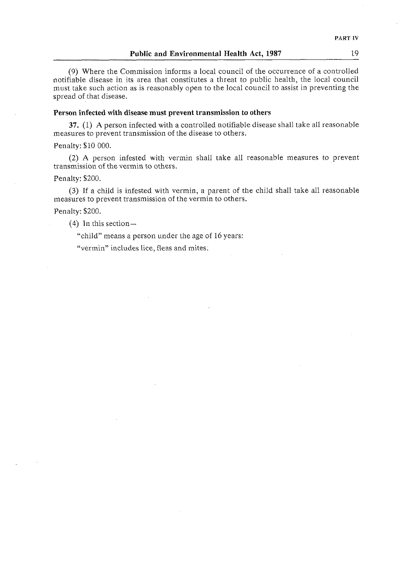## **Public and Environmental Health Act, 1987** 19

(9) Where the Commission informs a local council of the occurrence of a controlled notifiable disease in its area that constitutes a threat to public health, the local council must take such action as is reasonably open to the local council to assist in preventing the spread of that disease.

### **Person infected with disease must prevent transmission to others**

**37.** (1) A person infected with a controlled notifiable disease shall take all reasonable measures to prevent transmission of the disease to others.

Penalty: \$10 000.

(2) A person infested with vermin shall take all reasonable measures to prevent transmission of the vermin to others.

Penalty: \$200.

(3) If a child is infested with vermin, a parent of the child shall take all reasonable measures to prevent transmission of the vermin to others.

Penalty: \$200.

 $(4)$  In this section -

"child" means a person under the age of 16 years:

"vermin" includes lice, fleas and mites.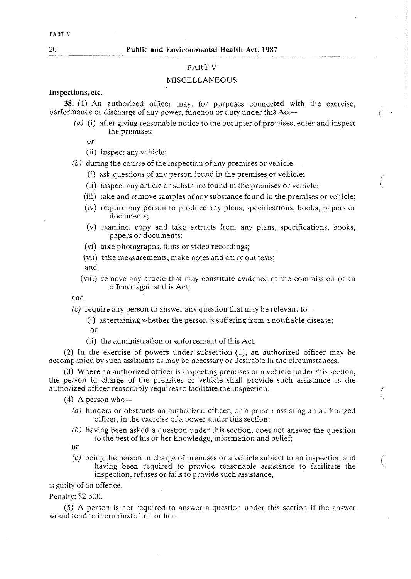### 20 **Public and Environmental Health Act, 1987**

## PART V

## MISCELLANEOUS

## **Inspections, etc.**

**38.** (1) An authorized officer may, for purposes connected with the exercise, performance or discharge of any power, function or duty under this Act-

*(a)* (i) after giving reasonable notice to the occupier of premises, enter and inspect the premises;

 $\left(\begin{array}{c} \cdot \end{array}\right)$ 

- or
- (ii) inspect any vehicle;

 $(b)$  during the course of the inspection of any premises or vehicle-

- (i) ask questions of any person found in the premises or vehicle;
- (ii) inspect any article or substance found in the premises or vehicle;
- (iii) take and remove samples of any substance found in the premises or vehicle;
- (iv) require any person to produce any plans, specifications, books, papers or documents;
- (v) examine, copy and take extracts from any plans, specifications, books, papers or documents;
- (vi) take photographs, films or video recordings;
- (vii) take measurements, make notes and carry out tests;
- and
- (viii) remove any article that may constitute evidence of the commission of an offence against this Act;

and

*(c)* require any person to answer any question that may be relevant to  $-$ 

- (i) ascertaining whether the person is suffering from a notifiable disease; or
- (ii) the administration or enforcement of this Act.

(2) In the exercise of powers under subsection (I), an authorized officer may be accompanied by such assistants as may be necessary or desirable in the circumstances.

**(3)** Where an authorized officer is inspecting premises or a vehicle under this section, the person in charge of the premises or vehicle shall provide such assistance as the authorized officer reasonably requires to facilitate the inspection.

- $(4)$  A person who-
	- *(a)* hinders or obstructs an authorized officer, or a person assisting an authorized officer, in the exercise of a power under this section;
	- *(b)* having been asked a question under this section, does not answer the question to the best of his or her knowledge, information and belief;
	- or
	- *(c)* being the person in charge of premises or a vehicle subject to an inspection and having been required to provide reasonable assistance to facilitate the inspection, refuses or fails to provide such assistance,

is guilty of an offence.

Penalty: \$2 500.

(5) A person is not required to answer a question under this section if the answer would tend to incriminate him or her.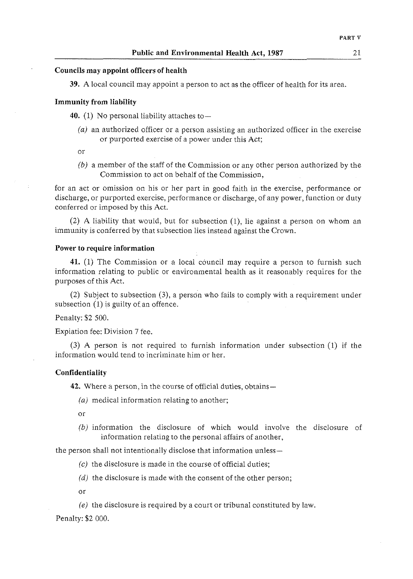### **Councils may appoint officers of health**

**39.** A local council may appoint a person to act as the officer of health for its area.

## **Immunity from liability**

**40.** (1) No personal liability attaches to  $-$ 

- *(a)* an authorized officer or a person assisting an authorized officer in the exercise or purported exercise of a power under this Act;
- or
- *(bj* a member of the staff of the Commission or any other person authorized by the Commission to act on behalf of the Commission,

for an act or omission on his or her part in good faith in the exercise, performance or discharge, or purported exercise, performance or discharge, of any power, function or duty conferred or imposed by this Act.

(2) A liability that would, but for subsection (I), lie against a person on whom an immunity is conferred by that subsection lies instead against the Crown.

### **Power to require information**

**41.** (1) The Commission or a local council may require a person to furnish such information relating to public or environmental health as it reasonably requires for the purposes of this Act.

(2) Subject to subsection (3), a person who fails to comply with a requirement under subsection (1) is guilty of an offence.

Penalty: \$2 500.

Expiation fee: Division 7 fee.

(3) A person is not required to furnish information under subsection (I) if the information would tend to incriminate him or her.

### **Confidentiality**

**42.** Where a person, in the course of official duties, obtains-

*(aj* medical information relating to another;

or

*(bj* information the disclosure of which would involve the disclosure of information relating to the personal affairs of another,

the person shall not intentionally disclose that information unless-

- *(c)* the disclosure is made in the course of official duties;
- *(dj* the disclosure is made with the consent of the other person;

or

(e) the disclosure is required by a court or tribunal constituted by law.

Penalty: \$2 000.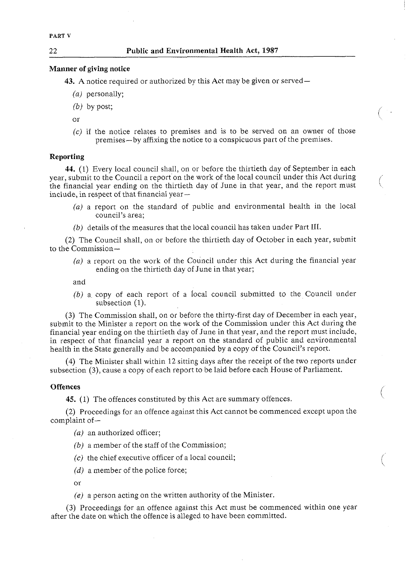### **Manner of giving notice**

**43.** A notice required or authorized by this Act may be given or served-

- *(a)* personally;
- *(b)* by post;
- or
- $(c)$  if the notice relates to premises and is to be served on an owner of those premises-by affixing the notice to a conspicuous part of the premises.

#### **Reporting**

44. (1) Every local council shall, on or before the thirtieth day of September in each year, submit to the Council a report on the work of the local council under this Act during the financial year ending on the thirtieth day of June in that year, and the report must ( include, in respect of that financial year $-$ 

- *(a)* a report on the standard of public and environmental health in the local council's area;
- *(b)* details of the measures that the local council has taken under Part 111.

(2) The Council shall, on or before the thirtieth day of October in each year, submit to the Commission-

(a) a report on the work of the Council under this Act during the financial year ending on the thirtieth day of June in that year;

and

*(b)* a copy of each report of a local council submitted to the Council under subsection  $(1)$ .

(3) The Commission shall, on or before the thirty-first day of December in each year, submit to the Minister a report on the work of the Commission under this Act during the financial year ending on the thirtieth day of June in that year, and the report must include, in respect of that financial year a report on the standard of public and environmental health in the State generally and be accompanied by a copy of the Council's report.

(4) The Minister shall within 12 sitting days after the receipt of the two reports under subsection (3), cause a copy of each report to be laid before each House of Parliament.

### **Offences**

45. (1) The offences constituted by this Act are summary offences.

(2) Proceedings for an offence against this Act cannot be commenced except upon the complaint of-

- *(a)* an authorized officer;
- *(b)* a member of the staff of the Commission;
- (c) the chief executive officer of a local council;
- (d) a member of the police force;

or

*(e)* a person acting on the written authority of the Minister.

**(3)** Proceedings for an offence against this Act must be commenced within one year after the date on which the offence is alleged to have been committed.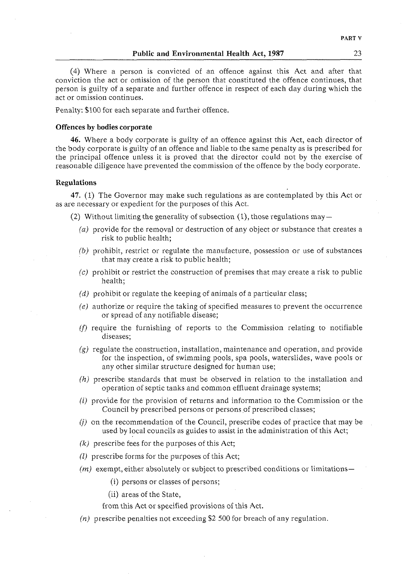(4) Where a person is convicted of an offence against this Act and after that conviction the act or omission of the person that constituted the offence continues, that person is guilty of a separate and further offence in respect of each day during which the act or omission continues.

Penalty: \$100 for each separate and further offence.

#### **Offences by bodies corporate**

46. Where a body corporate is guilty of an offence against this Act, each director of the body corporate is guilty of an offence and liable to the same penalty as is prescribed for the principal offence unless it is proved that the director could not by the exercise of reasonable diligence have prevented the commission of the offence by the body corporate.

### **Regulations**

**47.** (1) The Governor may make such regulations as are contemplated by this Act or as are necessary or expedient for the purposes of this Act.

(2) Without limiting the generality of subsection  $(1)$ , those regulations may -

- (a) provide for the removal or destruction of any object or substance that creates a risk to public health;
- (b) prohibit, restrict or regulate the manufacture, possession or use of substances that may create a risk to public health;
- (c) prohibit or restrict the construction of premises that may create a risk to public health;
- (d) prohibit or regulate the keeping of animals of a particular class;
- *(e)* authorize or require the taking of specified measures to prevent the occurrence or spread of any notifiable disease;
- (f) require the furnishing of reports to the Commission relating to notifiable diseases;
- $(g)$  regulate the construction, installation, maintenance and operation, and provide for the inspection, of swimming pools, spa pools, waterslides, wave pools or any other similar structure designed for human use;
- (h) prescribe standards that must be observed in relation to the installation and operation of septic tanks and common effluent drainage systems;
- **ji)** provide for the provision of returns and information to the Commission or the Council by prescribed persons or persons of prescribed classes;
- *0)* on the recommendation of the Council, prescribe codes of practice that may be used by local councils as guides to assist in the administration of this Act;
- $(k)$  prescribe fees for the purposes of this Act;
- $(l)$  prescribe forms for the purposes of this Act;
- *(m)* exempt, either absolutely or subject to prescribed conditions or limitations-
	- (i) persons or classes of persons;
	- (ii) areas of the State,
	- from this Act or specified provisions of this Act.
- (n) prescribe penalties not exceeding \$2 500 for breach of any regulation.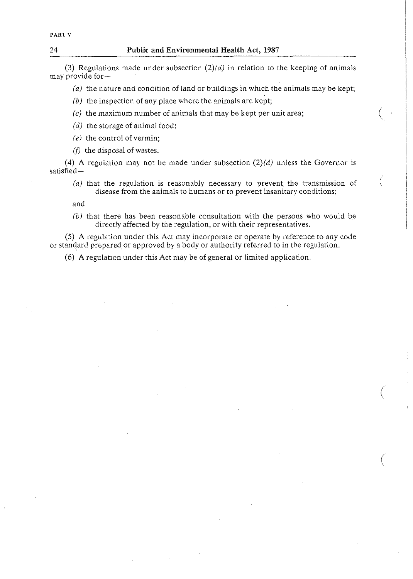#### 24 **Public and Environmental Health Act, 1987**

(3) Regulations made under subsection  $(2)(d)$  in relation to the keeping of animals  $may$  provide for $-$ 

(a) the nature and condition of land or buildings in which the animals may be kept;

- *(b)* the inspection of any place where the animals are kept;
- *(c)* the maximum number of animals that may be kept per unit area; (
- $(d)$  the storage of animal food;
- *(e)* the control of vermin;
- (f) the disposal of wastes.

(4) A regulation may not be made under subsection  $(2)(d)$  unless the Governor is satisfied-

(a) that the regulation is reasonably necessary to prevent the transmission of at the regulation is reasonably necessary to prevent the transmission of  $\hspace{1cm} ($ 

and

(b) that there has been reasonable consultation with the persons who would be directly affected by the regulation, or with their representatives.

(5) A regulation under this Act may incorporate or operate by reference to any code or standard prepared or approved by a body or authority referred to in the regulation.

(6) A regulation under this Act may be of general or limited application.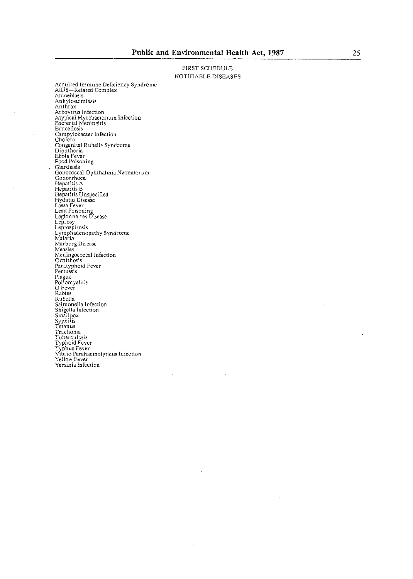Acquired Immune Deficiency Syndrome AIDS-Related Complex Amoeblasis Ankylostomiasis Anthrax Arbovirus Infection Atypical Mycobacterium Infection<br>Bacterial Meningitis<br>Brucellosis Campylobacter Infection Gonorrhoea Hepatitis B<br>Hepatitis Unspecified Hydatid Disease Lassa Fever Lead Poisoning Legionnaires Disease Leprosy<br>Leptospirosis<br>Lymphadenopathy Syndrome<br>Malaria *Marawa*<br>Marburg Disease<br>Measles Measles<br>Meningococcal Infection<br>Ornithosis Paratyphoid Fever<br>Pertussis<br>Plague<br>Poliomyelitis<br>Q Fever<br>Rabies Rubella<br>Salmonella Infection<br>Shigella Infection<br>Smallpox Syphiiis Tetanus Trachoma Tuberculosis Typhoid Fever Typhus Fever Vibrio Parahaemoivticus lnfection Yeilow Fever Yersinia lnfection

## FIRST SCHEDULE NOTIFIABLE DISEASES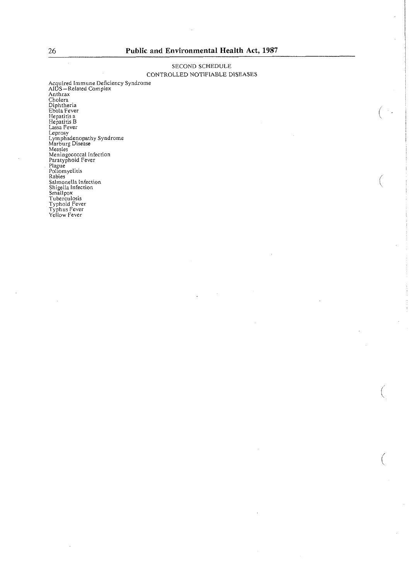### SECOND SCHEDULE CONTROLLED NOTIFIABLE DISEASES

Acquired Immune Deficiency Syndrome<br>AIDS -- Related Complex<br>Anthrax<br>Cholera<br>Cholera<br>Ebola Fever<br>Hepatitis a<br>Hepatitis B<br>Lassa Fever Leprosy<br>Lymphadenopathy Syndrome<br>Marburg Disease Measles<br>Meningococcal Infection<br>Paratyphoid Fever Plague<br>Poliomyelitis<br>Rabies<br>Shigella Infection<br>Shigella Infection Smailpox Tuberculosis Typhoid Fever Typhus Fever Yeliow Fever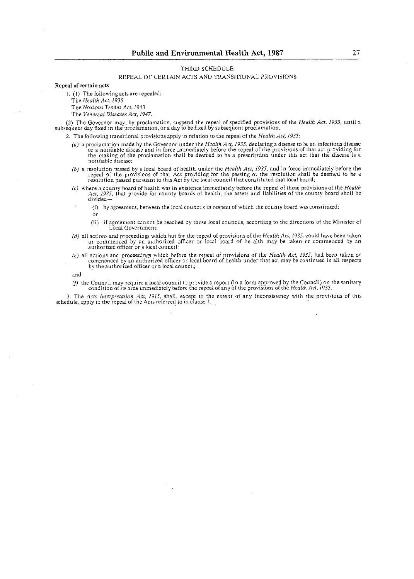#### THIRD SCHEDULE

#### REPEAL OF CERTAIN ACTS AND TRANSITIONAL PROVISIONS

#### Repeal **of** certain acts

- I. (1) The followingactsare repealed:
- The *Health Act,* 1935
- The *Noxious Trades Act*, 1943
- 'The *Venereal Diseases Act,* 1947.

(2) The Governor may, by proclamation, suspend the repeal of specified provisions of thc Health *Act,* 1935, until a subsequent day fixed in the proclamation, or a day to be fixed by subsequent proclamation.

- 2. The following transitional provisions apply in relation to the repeal of the *Health Act,* 1935:
	- (a) a proclamation made by the Governor under the *Health Act, 1935*, declaring a disease to be an infectious disease<br>or a notifiable disease and in force immediately before the repeal of the provisions of that act providi the making of the proclamation shall be deemed to be a prescription under this act that the disease is a<br>notifiable disease;
	- (b) a resolution passed by a local board of health under the *Health Act,* 1935, and in force immediately before the repeal of the provisions of that Act providing for the passing of the resolution shall be deemed to be a<br>resolution passed pursuant to this Act by the local council that constituted that local board;
	- (c) where a county board of health was in existence immediately before the repeal of those provisions of the *Health*  $Act$ , 1935, that provide for county boards of health, the assets and liabilities of the county board sha
		- (i) by agreement, between the iocal councils in respect of which the county board was constituted; or
			- (ii) if agreement cannot be reached by those iocal councils, according to the directions of the Minister of Local Government;
	- (d) all actions and proceedings which but for the repeal of provisions of the *Health Act, 1935*, could have been taken or commenced by an authorized officer or local board of he alth may be taken or commenced by an autho
	- (e) all actions and proceedings which before the repeal of provisions of the *Health Act, 1935*, had been taken or commenced by an authorized officer or local board of health under that act may be continued in all respects by the authorized officer or a local council;

and<br>(f) the Council may require a local council to provide a report (in a form approved by the Council) on the sanitary<br>condition of its area immediately before the repeal of any of the provisions of the Health Act, 1935.

**3.** The *Acls Inlerpretation Aa,* 1915, shall, except to the exteni of any inconsistency with the provisions of this schedule, appiy to the repeal of the Acjs reierred to inciause 1.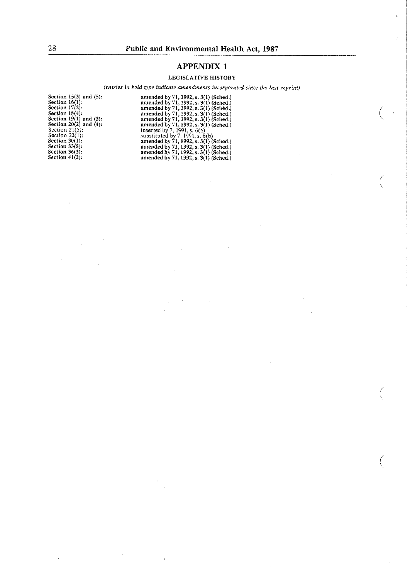# **APPENDIX 1**

## LEGISLATIVE HISTORY

(entries in bold type indicate amendments incorporated since the last reprint)

| Section $15(3)$ and $(5)$ : |
|-----------------------------|
| Section $16(1)$ :           |
| Section $17(2)$ :           |
| Section $18(4)$ :           |
| Section $19(1)$ and $(3)$ : |
| Section $20(2)$ and $(4)$ : |
| Section $21(5)$ :           |
| Section $22(1)$ :           |
| Section $30(1)$ :           |
| Section 33(5):              |
| Section $36(3)$ :           |
| Section $41(2)$ :           |
|                             |

| amended by 71, 1992, s. 3(1) (Sched.) |
|---------------------------------------|
| amended by 71, 1992, s. 3(1) (Sched.) |
| amended by 71, 1992, s. 3(1) (Sched.) |
| amended by 71, 1992, s. 3(1) (Sched.) |
| amended by 71, 1992, s. 3(1) (Sched.) |
| amended by 71, 1992, s. 3(1) (Sched.) |
| inserted by 7, 1991, s. $6(a)$        |
| substituted by $7, 1991$ , s. $6(b)$  |
| amended by 71, 1992, s. 3(1) (Sched.) |
| amended by 71, 1992, s. 3(1) (Sched.) |
| amended by 71, 1992, s. 3(1) (Sched.) |
| amended by 71, 1992, s. 3(1) (Sched.) |